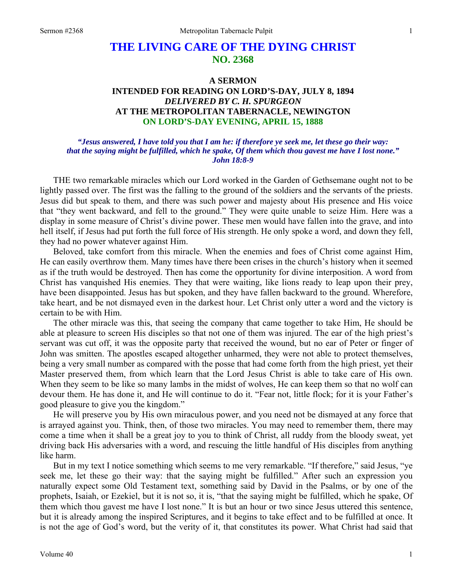# **THE LIVING CARE OF THE DYING CHRIST NO. 2368**

# **A SERMON INTENDED FOR READING ON LORD'S-DAY, JULY 8, 1894**  *DELIVERED BY C. H. SPURGEON*  **AT THE METROPOLITAN TABERNACLE, NEWINGTON ON LORD'S-DAY EVENING, APRIL 15, 1888**

#### *"Jesus answered, I have told you that I am he: if therefore ye seek me, let these go their way: that the saying might be fulfilled, which he spake, Of them which thou gavest me have I lost none." John 18:8-9*

THE two remarkable miracles which our Lord worked in the Garden of Gethsemane ought not to be lightly passed over. The first was the falling to the ground of the soldiers and the servants of the priests. Jesus did but speak to them, and there was such power and majesty about His presence and His voice that "they went backward, and fell to the ground." They were quite unable to seize Him. Here was a display in some measure of Christ's divine power. These men would have fallen into the grave, and into hell itself, if Jesus had put forth the full force of His strength. He only spoke a word, and down they fell, they had no power whatever against Him.

Beloved, take comfort from this miracle. When the enemies and foes of Christ come against Him, He can easily overthrow them. Many times have there been crises in the church's history when it seemed as if the truth would be destroyed. Then has come the opportunity for divine interposition. A word from Christ has vanquished His enemies. They that were waiting, like lions ready to leap upon their prey, have been disappointed. Jesus has but spoken, and they have fallen backward to the ground. Wherefore, take heart, and be not dismayed even in the darkest hour. Let Christ only utter a word and the victory is certain to be with Him.

The other miracle was this, that seeing the company that came together to take Him, He should be able at pleasure to screen His disciples so that not one of them was injured. The ear of the high priest's servant was cut off, it was the opposite party that received the wound, but no ear of Peter or finger of John was smitten. The apostles escaped altogether unharmed, they were not able to protect themselves, being a very small number as compared with the posse that had come forth from the high priest, yet their Master preserved them, from which learn that the Lord Jesus Christ is able to take care of His own. When they seem to be like so many lambs in the midst of wolves, He can keep them so that no wolf can devour them. He has done it, and He will continue to do it. "Fear not, little flock; for it is your Father's good pleasure to give you the kingdom."

He will preserve you by His own miraculous power, and you need not be dismayed at any force that is arrayed against you. Think, then, of those two miracles. You may need to remember them, there may come a time when it shall be a great joy to you to think of Christ, all ruddy from the bloody sweat, yet driving back His adversaries with a word, and rescuing the little handful of His disciples from anything like harm.

But in my text I notice something which seems to me very remarkable. "If therefore," said Jesus, "ye seek me, let these go their way: that the saying might be fulfilled." After such an expression you naturally expect some Old Testament text, something said by David in the Psalms, or by one of the prophets, Isaiah, or Ezekiel, but it is not so, it is, "that the saying might be fulfilled, which he spake, Of them which thou gavest me have I lost none." It is but an hour or two since Jesus uttered this sentence, but it is already among the inspired Scriptures, and it begins to take effect and to be fulfilled at once. It is not the age of God's word, but the verity of it, that constitutes its power. What Christ had said that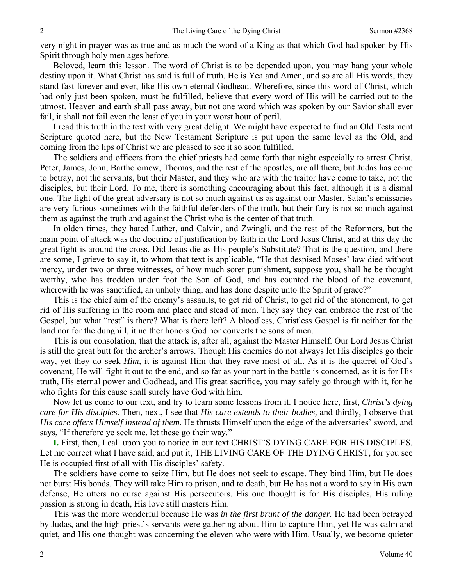very night in prayer was as true and as much the word of a King as that which God had spoken by His Spirit through holy men ages before.

Beloved, learn this lesson. The word of Christ is to be depended upon, you may hang your whole destiny upon it. What Christ has said is full of truth. He is Yea and Amen, and so are all His words, they stand fast forever and ever, like His own eternal Godhead. Wherefore, since this word of Christ, which had only just been spoken, must be fulfilled, believe that every word of His will be carried out to the utmost. Heaven and earth shall pass away, but not one word which was spoken by our Savior shall ever fail, it shall not fail even the least of you in your worst hour of peril.

I read this truth in the text with very great delight. We might have expected to find an Old Testament Scripture quoted here, but the New Testament Scripture is put upon the same level as the Old, and coming from the lips of Christ we are pleased to see it so soon fulfilled.

The soldiers and officers from the chief priests had come forth that night especially to arrest Christ. Peter, James, John, Bartholomew, Thomas, and the rest of the apostles, are all there, but Judas has come to betray, not the servants, but their Master, and they who are with the traitor have come to take, not the disciples, but their Lord. To me, there is something encouraging about this fact, although it is a dismal one. The fight of the great adversary is not so much against us as against our Master. Satan's emissaries are very furious sometimes with the faithful defenders of the truth, but their fury is not so much against them as against the truth and against the Christ who is the center of that truth.

In olden times, they hated Luther, and Calvin, and Zwingli, and the rest of the Reformers, but the main point of attack was the doctrine of justification by faith in the Lord Jesus Christ, and at this day the great fight is around the cross. Did Jesus die as His people's Substitute? That is the question, and there are some, I grieve to say it, to whom that text is applicable, "He that despised Moses' law died without mercy, under two or three witnesses, of how much sorer punishment, suppose you, shall he be thought worthy, who has trodden under foot the Son of God, and has counted the blood of the covenant, wherewith he was sanctified, an unholy thing, and has done despite unto the Spirit of grace?"

This is the chief aim of the enemy's assaults, to get rid of Christ, to get rid of the atonement, to get rid of His suffering in the room and place and stead of men. They say they can embrace the rest of the Gospel, but what "rest" is there? What is there left? A bloodless, Christless Gospel is fit neither for the land nor for the dunghill, it neither honors God nor converts the sons of men.

This is our consolation, that the attack is, after all, against the Master Himself. Our Lord Jesus Christ is still the great butt for the archer's arrows. Though His enemies do not always let His disciples go their way, yet they do seek *Him,* it is against Him that they rave most of all. As it is the quarrel of God's covenant, He will fight it out to the end, and so far as your part in the battle is concerned, as it is for His truth, His eternal power and Godhead, and His great sacrifice, you may safely go through with it, for he who fights for this cause shall surely have God with him.

Now let us come to our text, and try to learn some lessons from it. I notice here, first, *Christ's dying care for His disciples*. Then, next, I see that *His care extends to their bodies,* and thirdly, I observe that *His care offers Himself instead of them*. He thrusts Himself upon the edge of the adversaries' sword, and says, "If therefore ye seek me, let these go their way."

**I.** First, then, I call upon you to notice in our text CHRIST'S DYING CARE FOR HIS DISCIPLES. Let me correct what I have said, and put it, THE LIVING CARE OF THE DYING CHRIST, for you see He is occupied first of all with His disciples' safety.

The soldiers have come to seize Him, but He does not seek to escape. They bind Him, but He does not burst His bonds. They will take Him to prison, and to death, but He has not a word to say in His own defense, He utters no curse against His persecutors. His one thought is for His disciples, His ruling passion is strong in death, His love still masters Him.

This was the more wonderful because He was *in the first brunt of the danger.* He had been betrayed by Judas, and the high priest's servants were gathering about Him to capture Him, yet He was calm and quiet, and His one thought was concerning the eleven who were with Him. Usually, we become quieter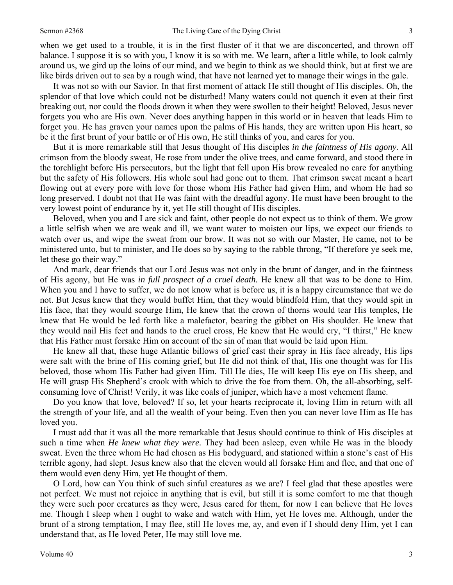when we get used to a trouble, it is in the first fluster of it that we are disconcerted, and thrown off

balance. I suppose it is so with you, I know it is so with me. We learn, after a little while, to look calmly around us, we gird up the loins of our mind, and we begin to think as we should think, but at first we are like birds driven out to sea by a rough wind, that have not learned yet to manage their wings in the gale.

It was not so with our Savior. In that first moment of attack He still thought of His disciples. Oh, the splendor of that love which could not be disturbed! Many waters could not quench it even at their first breaking out, nor could the floods drown it when they were swollen to their height! Beloved, Jesus never forgets you who are His own. Never does anything happen in this world or in heaven that leads Him to forget you. He has graven your names upon the palms of His hands, they are written upon His heart, so be it the first brunt of your battle or of His own, He still thinks of you, and cares for you.

But it is more remarkable still that Jesus thought of His disciples *in the faintness of His agony.* All crimson from the bloody sweat, He rose from under the olive trees, and came forward, and stood there in the torchlight before His persecutors, but the light that fell upon His brow revealed no care for anything but the safety of His followers. His whole soul had gone out to them. That crimson sweat meant a heart flowing out at every pore with love for those whom His Father had given Him, and whom He had so long preserved. I doubt not that He was faint with the dreadful agony. He must have been brought to the very lowest point of endurance by it, yet He still thought of His disciples.

Beloved, when you and I are sick and faint, other people do not expect us to think of them. We grow a little selfish when we are weak and ill, we want water to moisten our lips, we expect our friends to watch over us, and wipe the sweat from our brow. It was not so with our Master, He came, not to be ministered unto, but to minister, and He does so by saying to the rabble throng, "If therefore ye seek me, let these go their way."

And mark, dear friends that our Lord Jesus was not only in the brunt of danger, and in the faintness of His agony, but He was *in full prospect of a cruel death.* He knew all that was to be done to Him. When you and I have to suffer, we do not know what is before us, it is a happy circumstance that we do not. But Jesus knew that they would buffet Him, that they would blindfold Him, that they would spit in His face, that they would scourge Him, He knew that the crown of thorns would tear His temples, He knew that He would be led forth like a malefactor, bearing the gibbet on His shoulder. He knew that they would nail His feet and hands to the cruel cross, He knew that He would cry, "I thirst," He knew that His Father must forsake Him on account of the sin of man that would be laid upon Him.

He knew all that, these huge Atlantic billows of grief cast their spray in His face already, His lips were salt with the brine of His coming grief, but He did not think of that, His one thought was for His beloved, those whom His Father had given Him. Till He dies, He will keep His eye on His sheep, and He will grasp His Shepherd's crook with which to drive the foe from them. Oh, the all-absorbing, selfconsuming love of Christ! Verily, it was like coals of juniper, which have a most vehement flame.

Do you know that love, beloved? If so, let your hearts reciprocate it, loving Him in return with all the strength of your life, and all the wealth of your being. Even then you can never love Him as He has loved you.

I must add that it was all the more remarkable that Jesus should continue to think of His disciples at such a time when *He knew what they were.* They had been asleep, even while He was in the bloody sweat. Even the three whom He had chosen as His bodyguard, and stationed within a stone's cast of His terrible agony, had slept. Jesus knew also that the eleven would all forsake Him and flee, and that one of them would even deny Him, yet He thought of them.

O Lord, how can You think of such sinful creatures as we are? I feel glad that these apostles were not perfect. We must not rejoice in anything that is evil, but still it is some comfort to me that though they were such poor creatures as they were, Jesus cared for them, for now I can believe that He loves me. Though I sleep when I ought to wake and watch with Him, yet He loves me. Although, under the brunt of a strong temptation, I may flee, still He loves me, ay, and even if I should deny Him, yet I can understand that, as He loved Peter, He may still love me.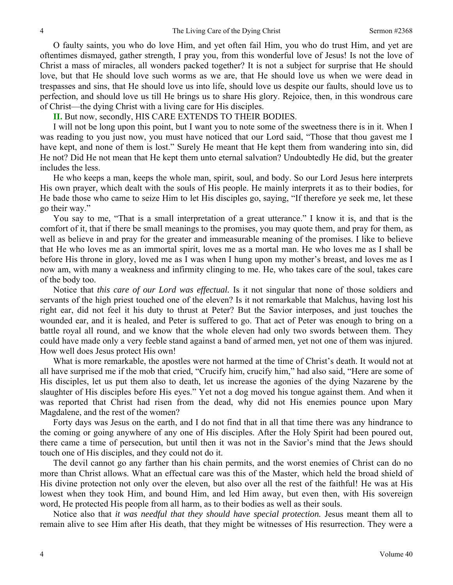O faulty saints, you who do love Him, and yet often fail Him, you who do trust Him, and yet are oftentimes dismayed, gather strength, I pray you, from this wonderful love of Jesus! Is not the love of Christ a mass of miracles, all wonders packed together? It is not a subject for surprise that He should love, but that He should love such worms as we are, that He should love us when we were dead in trespasses and sins, that He should love us into life, should love us despite our faults, should love us to perfection, and should love us till He brings us to share His glory. Rejoice, then, in this wondrous care of Christ—the dying Christ with a living care for His disciples.

**II.** But now, secondly, HIS CARE EXTENDS TO THEIR BODIES.

I will not be long upon this point, but I want you to note some of the sweetness there is in it. When I was reading to you just now, you must have noticed that our Lord said, "Those that thou gavest me I have kept, and none of them is lost." Surely He meant that He kept them from wandering into sin, did He not? Did He not mean that He kept them unto eternal salvation? Undoubtedly He did, but the greater includes the less.

He who keeps a man, keeps the whole man, spirit, soul, and body. So our Lord Jesus here interprets His own prayer, which dealt with the souls of His people. He mainly interprets it as to their bodies, for He bade those who came to seize Him to let His disciples go, saying, "If therefore ye seek me, let these go their way."

You say to me, "That is a small interpretation of a great utterance." I know it is, and that is the comfort of it, that if there be small meanings to the promises, you may quote them, and pray for them, as well as believe in and pray for the greater and immeasurable meaning of the promises. I like to believe that He who loves me as an immortal spirit, loves me as a mortal man. He who loves me as I shall be before His throne in glory, loved me as I was when I hung upon my mother's breast, and loves me as I now am, with many a weakness and infirmity clinging to me. He, who takes care of the soul, takes care of the body too.

Notice that *this care of our Lord was effectual.* Is it not singular that none of those soldiers and servants of the high priest touched one of the eleven? Is it not remarkable that Malchus, having lost his right ear, did not feel it his duty to thrust at Peter? But the Savior interposes, and just touches the wounded ear, and it is healed, and Peter is suffered to go. That act of Peter was enough to bring on a battle royal all round, and we know that the whole eleven had only two swords between them. They could have made only a very feeble stand against a band of armed men, yet not one of them was injured. How well does Jesus protect His own!

What is more remarkable, the apostles were not harmed at the time of Christ's death. It would not at all have surprised me if the mob that cried, "Crucify him, crucify him," had also said, "Here are some of His disciples, let us put them also to death, let us increase the agonies of the dying Nazarene by the slaughter of His disciples before His eyes." Yet not a dog moved his tongue against them. And when it was reported that Christ had risen from the dead, why did not His enemies pounce upon Mary Magdalene, and the rest of the women?

Forty days was Jesus on the earth, and I do not find that in all that time there was any hindrance to the coming or going anywhere of any one of His disciples. After the Holy Spirit had been poured out, there came a time of persecution, but until then it was not in the Savior's mind that the Jews should touch one of His disciples, and they could not do it.

The devil cannot go any farther than his chain permits, and the worst enemies of Christ can do no more than Christ allows. What an effectual care was this of the Master, which held the broad shield of His divine protection not only over the eleven, but also over all the rest of the faithful! He was at His lowest when they took Him, and bound Him, and led Him away, but even then, with His sovereign word, He protected His people from all harm, as to their bodies as well as their souls.

Notice also that *it was needful that they should have special protection.* Jesus meant them all to remain alive to see Him after His death, that they might be witnesses of His resurrection. They were a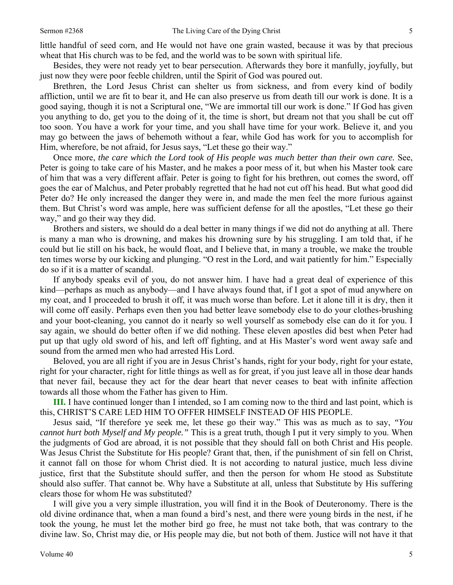little handful of seed corn, and He would not have one grain wasted, because it was by that precious wheat that His church was to be fed, and the world was to be sown with spiritual life.

Besides, they were not ready yet to bear persecution. Afterwards they bore it manfully, joyfully, but just now they were poor feeble children, until the Spirit of God was poured out.

Brethren, the Lord Jesus Christ can shelter us from sickness, and from every kind of bodily affliction, until we are fit to bear it, and He can also preserve us from death till our work is done. It is a good saying, though it is not a Scriptural one, "We are immortal till our work is done." If God has given you anything to do, get you to the doing of it, the time is short, but dream not that you shall be cut off too soon. You have a work for your time, and you shall have time for your work. Believe it, and you may go between the jaws of behemoth without a fear, while God has work for you to accomplish for Him, wherefore, be not afraid, for Jesus says, "Let these go their way."

Once more, *the care which the Lord took of His people was much better than their own care.* See, Peter is going to take care of his Master, and he makes a poor mess of it, but when his Master took care of him that was a very different affair. Peter is going to fight for his brethren, out comes the sword, off goes the ear of Malchus, and Peter probably regretted that he had not cut off his head. But what good did Peter do? He only increased the danger they were in, and made the men feel the more furious against them. But Christ's word was ample, here was sufficient defense for all the apostles, "Let these go their way," and go their way they did.

Brothers and sisters, we should do a deal better in many things if we did not do anything at all. There is many a man who is drowning, and makes his drowning sure by his struggling. I am told that, if he could but lie still on his back, he would float, and I believe that, in many a trouble, we make the trouble ten times worse by our kicking and plunging. "O rest in the Lord, and wait patiently for him." Especially do so if it is a matter of scandal.

If anybody speaks evil of you, do not answer him. I have had a great deal of experience of this kind—perhaps as much as anybody—and I have always found that, if I got a spot of mud anywhere on my coat, and I proceeded to brush it off, it was much worse than before. Let it alone till it is dry, then it will come off easily. Perhaps even then you had better leave somebody else to do your clothes-brushing and your boot-cleaning, you cannot do it nearly so well yourself as somebody else can do it for you. I say again, we should do better often if we did nothing. These eleven apostles did best when Peter had put up that ugly old sword of his, and left off fighting, and at His Master's word went away safe and sound from the armed men who had arrested His Lord.

Beloved, you are all right if you are in Jesus Christ's hands, right for your body, right for your estate, right for your character, right for little things as well as for great, if you just leave all in those dear hands that never fail, because they act for the dear heart that never ceases to beat with infinite affection towards all those whom the Father has given to Him.

**III.** I have continued longer than I intended, so I am coming now to the third and last point, which is this, CHRIST'S CARE LED HIM TO OFFER HIMSELF INSTEAD OF HIS PEOPLE.

Jesus said, "If therefore ye seek me, let these go their way." This was as much as to say, *"You cannot hurt both Myself and My people."* This is a great truth, though I put it very simply to you. When the judgments of God are abroad, it is not possible that they should fall on both Christ and His people. Was Jesus Christ the Substitute for His people? Grant that, then, if the punishment of sin fell on Christ, it cannot fall on those for whom Christ died. It is not according to natural justice, much less divine justice, first that the Substitute should suffer, and then the person for whom He stood as Substitute should also suffer. That cannot be. Why have a Substitute at all, unless that Substitute by His suffering clears those for whom He was substituted?

I will give you a very simple illustration, you will find it in the Book of Deuteronomy. There is the old divine ordinance that, when a man found a bird's nest, and there were young birds in the nest, if he took the young, he must let the mother bird go free, he must not take both, that was contrary to the divine law. So, Christ may die, or His people may die, but not both of them. Justice will not have it that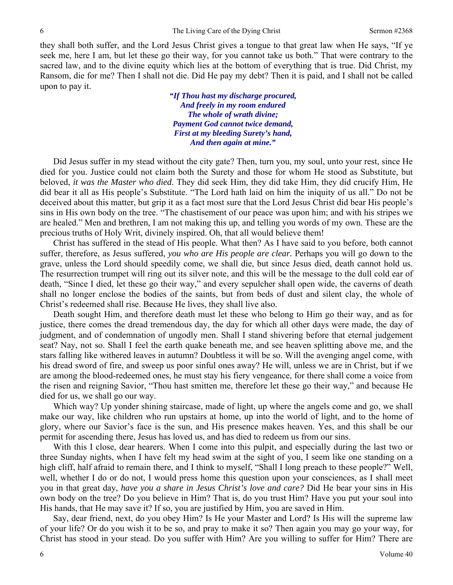they shall both suffer, and the Lord Jesus Christ gives a tongue to that great law when He says, "If ye seek me, here I am, but let these go their way, for you cannot take us both." That were contrary to the sacred law, and to the divine equity which lies at the bottom of everything that is true. Did Christ, my Ransom, die for me? Then I shall not die. Did He pay my debt? Then it is paid, and I shall not be called upon to pay it.

> *"If Thou hast my discharge procured, And freely in my room endured The whole of wrath divine; Payment God cannot twice demand, First at my bleeding Surety's hand, And then again at mine."*

Did Jesus suffer in my stead without the city gate? Then, turn you, my soul, unto your rest, since He died for you. Justice could not claim both the Surety and those for whom He stood as Substitute, but beloved, *it was the Master who died.* They did seek Him, they did take Him, they did crucify Him, He did bear it all as His people's Substitute. "The Lord hath laid on him the iniquity of us all." Do not be deceived about this matter, but grip it as a fact most sure that the Lord Jesus Christ did bear His people's sins in His own body on the tree. "The chastisement of our peace was upon him; and with his stripes we are healed." Men and brethren, I am not making this up, and telling you words of my own. These are the precious truths of Holy Writ, divinely inspired. Oh, that all would believe them!

Christ has suffered in the stead of His people. What then? As I have said to you before, both cannot suffer, therefore, as Jesus suffered, *you who are His people are clear.* Perhaps you will go down to the grave, unless the Lord should speedily come, we shall die, but since Jesus died, death cannot hold us. The resurrection trumpet will ring out its silver note, and this will be the message to the dull cold ear of death, "Since I died, let these go their way," and every sepulcher shall open wide, the caverns of death shall no longer enclose the bodies of the saints, but from beds of dust and silent clay, the whole of Christ's redeemed shall rise. Because He lives, they shall live also.

Death sought Him, and therefore death must let these who belong to Him go their way, and as for justice, there comes the dread tremendous day, the day for which all other days were made, the day of judgment, and of condemnation of ungodly men. Shall I stand shivering before that eternal judgement seat? Nay, not so. Shall I feel the earth quake beneath me, and see heaven splitting above me, and the stars falling like withered leaves in autumn? Doubtless it will be so. Will the avenging angel come, with his dread sword of fire, and sweep us poor sinful ones away? He will, unless we are in Christ, but if we are among the blood-redeemed ones, he must stay his fiery vengeance, for there shall come a voice from the risen and reigning Savior, "Thou hast smitten me, therefore let these go their way," and because He died for us, we shall go our way.

Which way? Up yonder shining staircase, made of light, up where the angels come and go, we shall make our way, like children who run upstairs at home, up into the world of light, and to the home of glory, where our Savior's face is the sun, and His presence makes heaven. Yes, and this shall be our permit for ascending there, Jesus has loved us, and has died to redeem us from our sins.

With this I close, dear hearers. When I come into this pulpit, and especially during the last two or three Sunday nights, when I have felt my head swim at the sight of you, I seem like one standing on a high cliff, half afraid to remain there, and I think to myself, "Shall I long preach to these people?" Well, well, whether I do or do not, I would press home this question upon your consciences, as I shall meet you in that great day, *have you a share in Jesus Christ's love and care?* Did He bear your sins in His own body on the tree? Do you believe in Him? That is, do you trust Him? Have you put your soul into His hands, that He may save it? If so, you are justified by Him, you are saved in Him.

Say, dear friend, next, do you obey Him? Is He your Master and Lord? Is His will the supreme law of your life? Or do you wish it to be so, and pray to make it so? Then again you may go your way, for Christ has stood in your stead. Do you suffer with Him? Are you willing to suffer for Him? There are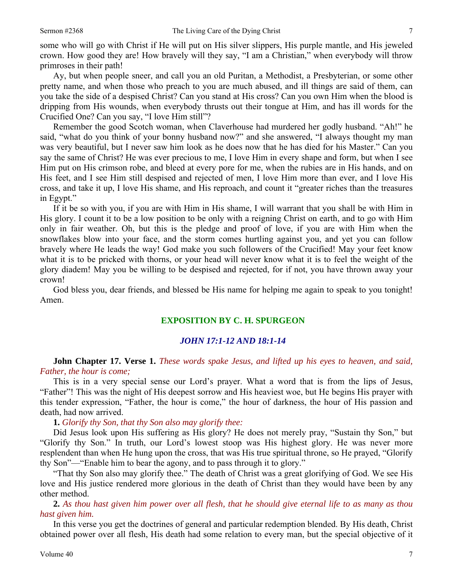some who will go with Christ if He will put on His silver slippers, His purple mantle, and His jeweled crown. How good they are! How bravely will they say, "I am a Christian," when everybody will throw primroses in their path!

Ay, but when people sneer, and call you an old Puritan, a Methodist, a Presbyterian, or some other pretty name, and when those who preach to you are much abused, and ill things are said of them, can you take the side of a despised Christ? Can you stand at His cross? Can you own Him when the blood is dripping from His wounds, when everybody thrusts out their tongue at Him, and has ill words for the Crucified One? Can you say, "I love Him still"?

Remember the good Scotch woman, when Claverhouse had murdered her godly husband. "Ah!" he said, "what do you think of your bonny husband now?" and she answered, "I always thought my man was very beautiful, but I never saw him look as he does now that he has died for his Master." Can you say the same of Christ? He was ever precious to me, I love Him in every shape and form, but when I see Him put on His crimson robe, and bleed at every pore for me, when the rubies are in His hands, and on His feet, and I see Him still despised and rejected of men, I love Him more than ever, and I love His cross, and take it up, I love His shame, and His reproach, and count it "greater riches than the treasures in Egypt."

If it be so with you, if you are with Him in His shame, I will warrant that you shall be with Him in His glory. I count it to be a low position to be only with a reigning Christ on earth, and to go with Him only in fair weather. Oh, but this is the pledge and proof of love, if you are with Him when the snowflakes blow into your face, and the storm comes hurtling against you, and yet you can follow bravely where He leads the way! God make you such followers of the Crucified! May your feet know what it is to be pricked with thorns, or your head will never know what it is to feel the weight of the glory diadem! May you be willing to be despised and rejected, for if not, you have thrown away your crown!

God bless you, dear friends, and blessed be His name for helping me again to speak to you tonight! Amen.

### **EXPOSITION BY C. H. SPURGEON**

#### *JOHN 17:1-12 AND 18:1-14*

## **John Chapter 17. Verse 1.** *These words spake Jesus, and lifted up his eyes to heaven, and said, Father, the hour is come;*

This is in a very special sense our Lord's prayer. What a word that is from the lips of Jesus, "Father"! This was the night of His deepest sorrow and His heaviest woe, but He begins His prayer with this tender expression, "Father, the hour is come," the hour of darkness, the hour of His passion and death, had now arrived.

**1.** *Glorify thy Son, that thy Son also may glorify thee:* 

Did Jesus look upon His suffering as His glory? He does not merely pray, "Sustain thy Son," but "Glorify thy Son." In truth, our Lord's lowest stoop was His highest glory. He was never more resplendent than when He hung upon the cross, that was His true spiritual throne, so He prayed, "Glorify thy Son"—"Enable him to bear the agony, and to pass through it to glory."

"That thy Son also may glorify thee." The death of Christ was a great glorifying of God. We see His love and His justice rendered more glorious in the death of Christ than they would have been by any other method.

**2.** *As thou hast given him power over all flesh, that he should give eternal life to as many as thou hast given him.* 

In this verse you get the doctrines of general and particular redemption blended. By His death, Christ obtained power over all flesh, His death had some relation to every man, but the special objective of it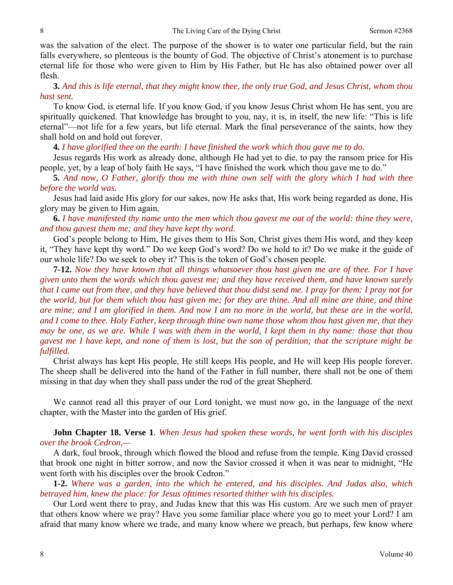was the salvation of the elect. The purpose of the shower is to water one particular field, but the rain falls everywhere, so plenteous is the bounty of God. The objective of Christ's atonement is to purchase eternal life for those who were given to Him by His Father, but He has also obtained power over all flesh.

**3.** *And this is life eternal, that they might know thee, the only true God, and Jesus Christ, whom thou hast sent.* 

To know God, is eternal life. If you know God, if you know Jesus Christ whom He has sent, you are spiritually quickened. That knowledge has brought to you, nay, it is, in itself, the new life: "This is life eternal"—not life for a few years, but life eternal. Mark the final perseverance of the saints, how they shall hold on and hold out forever.

**4.** *I have glorified thee on the earth: I have finished the work which thou gave me to do.* 

Jesus regards His work as already done, although He had yet to die, to pay the ransom price for His people, yet, by a leap of holy faith He says, "I have finished the work which thou gave me to do."

**5.** *And now, O Father, glorify thou me with thine own self with the glory which I had with thee before the world was.* 

Jesus had laid aside His glory for our sakes, now He asks that, His work being regarded as done, His glory may be given to Him again.

**6.** *I have manifested thy name unto the men which thou gavest me out of the world: thine they were, and thou gavest them me; and they have kept thy word.* 

God's people belong to Him, He gives them to His Son, Christ gives them His word, and they keep it, "They have kept thy word." Do we keep God's word? Do we hold to it? Do we make it the guide of our whole life? Do we seek to obey it? This is the token of God's chosen people.

**7-12.** *Now they have known that all things whatsoever thou hast given me are of thee. For I have given unto them the words which thou gavest me; and they have received them, and have known surely that I came out from thee, and they have believed that thou didst send me. I pray for them: I pray not for the world, but for them which thou hast given me; for they are thine. And all mine are thine, and thine are mine; and I am glorified in them. And now I am no more in the world, but these are in the world, and I come to thee. Holy Father, keep through thine own name those whom thou hast given me, that they may be one, as we are. While I was with them in the world, I kept them in thy name: those that thou gavest me I have kept, and none of them is lost, but the son of perdition; that the scripture might be fulfilled.* 

Christ always has kept His people, He still keeps His people, and He will keep His people forever. The sheep shall be delivered into the hand of the Father in full number, there shall not be one of them missing in that day when they shall pass under the rod of the great Shepherd.

We cannot read all this prayer of our Lord tonight, we must now go, in the language of the next chapter, with the Master into the garden of His grief.

**John Chapter 18. Verse 1**. *When Jesus had spoken these words, he went forth with his disciples over the brook Cedron,—* 

A dark, foul brook, through which flowed the blood and refuse from the temple. King David crossed that brook one night in bitter sorrow, and now the Savior crossed it when it was near to midnight, "He went forth with his disciples over the brook Cedron."

**1-2.** *Where was a garden, into the which he entered, and his disciples. And Judas also, which betrayed him, knew the place: for Jesus ofttimes resorted thither with his disciples.* 

Our Lord went there to pray, and Judas knew that this was His custom. Are we such men of prayer that others know where we pray? Have you some familiar place where you go to meet your Lord? I am afraid that many know where we trade, and many know where we preach, but perhaps, few know where